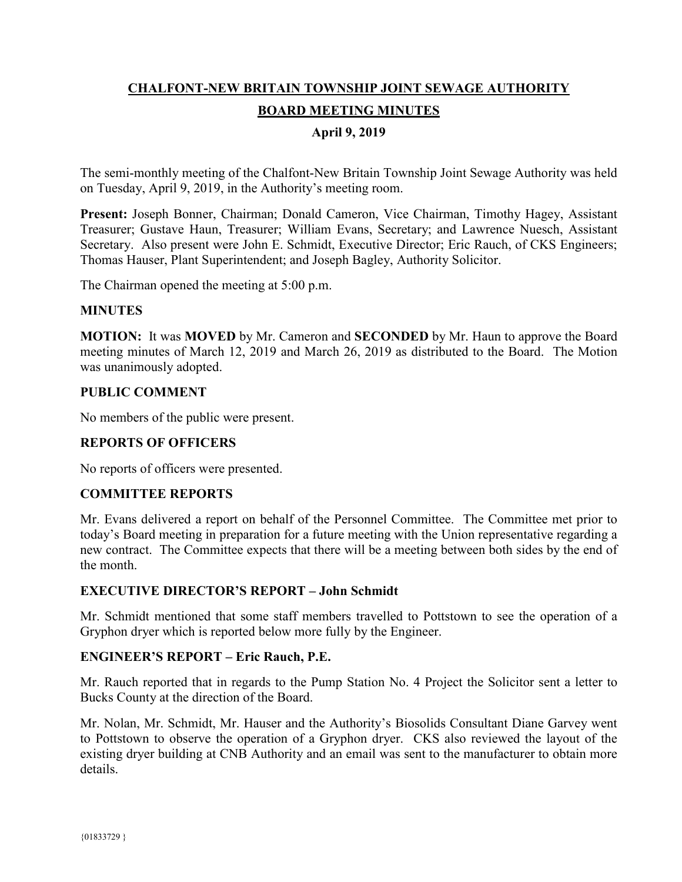# **CHALFONT-NEW BRITAIN TOWNSHIP JOINT SEWAGE AUTHORITY BOARD MEETING MINUTES**

### **April 9, 2019**

The semi-monthly meeting of the Chalfont-New Britain Township Joint Sewage Authority was held on Tuesday, April 9, 2019, in the Authority's meeting room.

**Present:** Joseph Bonner, Chairman; Donald Cameron, Vice Chairman, Timothy Hagey, Assistant Treasurer; Gustave Haun, Treasurer; William Evans, Secretary; and Lawrence Nuesch, Assistant Secretary. Also present were John E. Schmidt, Executive Director; Eric Rauch, of CKS Engineers; Thomas Hauser, Plant Superintendent; and Joseph Bagley, Authority Solicitor.

The Chairman opened the meeting at 5:00 p.m.

#### **MINUTES**

**MOTION:** It was **MOVED** by Mr. Cameron and **SECONDED** by Mr. Haun to approve the Board meeting minutes of March 12, 2019 and March 26, 2019 as distributed to the Board. The Motion was unanimously adopted.

#### **PUBLIC COMMENT**

No members of the public were present.

#### **REPORTS OF OFFICERS**

No reports of officers were presented.

#### **COMMITTEE REPORTS**

Mr. Evans delivered a report on behalf of the Personnel Committee. The Committee met prior to today's Board meeting in preparation for a future meeting with the Union representative regarding a new contract. The Committee expects that there will be a meeting between both sides by the end of the month.

#### **EXECUTIVE DIRECTOR'S REPORT – John Schmidt**

Mr. Schmidt mentioned that some staff members travelled to Pottstown to see the operation of a Gryphon dryer which is reported below more fully by the Engineer.

#### **ENGINEER'S REPORT – Eric Rauch, P.E.**

Mr. Rauch reported that in regards to the Pump Station No. 4 Project the Solicitor sent a letter to Bucks County at the direction of the Board.

Mr. Nolan, Mr. Schmidt, Mr. Hauser and the Authority's Biosolids Consultant Diane Garvey went to Pottstown to observe the operation of a Gryphon dryer. CKS also reviewed the layout of the existing dryer building at CNB Authority and an email was sent to the manufacturer to obtain more details.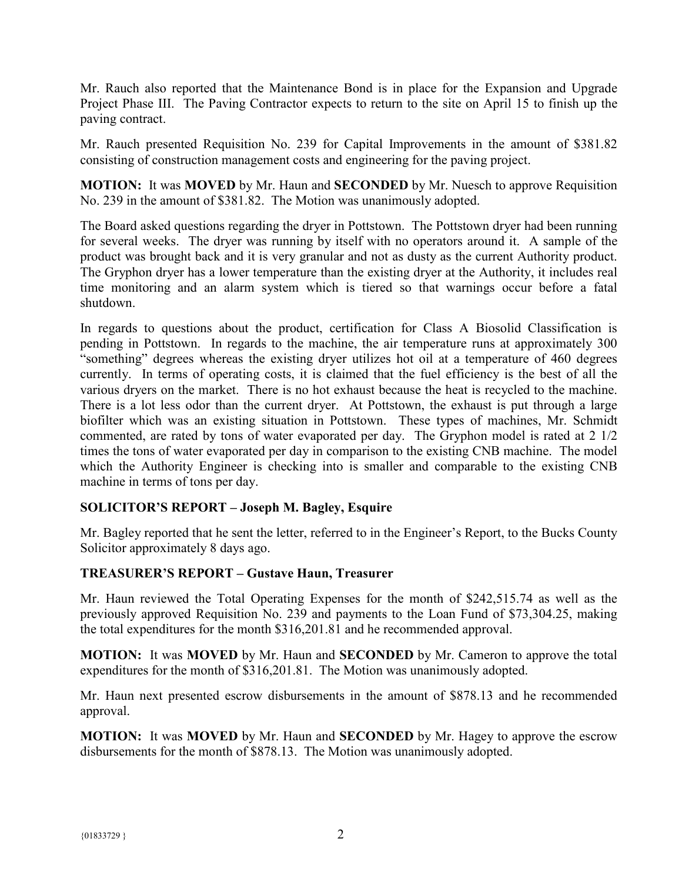Mr. Rauch also reported that the Maintenance Bond is in place for the Expansion and Upgrade Project Phase III. The Paving Contractor expects to return to the site on April 15 to finish up the paving contract.

Mr. Rauch presented Requisition No. 239 for Capital Improvements in the amount of \$381.82 consisting of construction management costs and engineering for the paving project.

**MOTION:** It was **MOVED** by Mr. Haun and **SECONDED** by Mr. Nuesch to approve Requisition No. 239 in the amount of \$381.82. The Motion was unanimously adopted.

The Board asked questions regarding the dryer in Pottstown. The Pottstown dryer had been running for several weeks. The dryer was running by itself with no operators around it. A sample of the product was brought back and it is very granular and not as dusty as the current Authority product. The Gryphon dryer has a lower temperature than the existing dryer at the Authority, it includes real time monitoring and an alarm system which is tiered so that warnings occur before a fatal shutdown.

In regards to questions about the product, certification for Class A Biosolid Classification is pending in Pottstown. In regards to the machine, the air temperature runs at approximately 300 "something" degrees whereas the existing dryer utilizes hot oil at a temperature of 460 degrees currently. In terms of operating costs, it is claimed that the fuel efficiency is the best of all the various dryers on the market. There is no hot exhaust because the heat is recycled to the machine. There is a lot less odor than the current dryer. At Pottstown, the exhaust is put through a large biofilter which was an existing situation in Pottstown. These types of machines, Mr. Schmidt commented, are rated by tons of water evaporated per day. The Gryphon model is rated at 2 1/2 times the tons of water evaporated per day in comparison to the existing CNB machine. The model which the Authority Engineer is checking into is smaller and comparable to the existing CNB machine in terms of tons per day.

## **SOLICITOR'S REPORT – Joseph M. Bagley, Esquire**

Mr. Bagley reported that he sent the letter, referred to in the Engineer's Report, to the Bucks County Solicitor approximately 8 days ago.

#### **TREASURER'S REPORT – Gustave Haun, Treasurer**

Mr. Haun reviewed the Total Operating Expenses for the month of \$242,515.74 as well as the previously approved Requisition No. 239 and payments to the Loan Fund of \$73,304.25, making the total expenditures for the month \$316,201.81 and he recommended approval.

**MOTION:** It was **MOVED** by Mr. Haun and **SECONDED** by Mr. Cameron to approve the total expenditures for the month of \$316,201.81. The Motion was unanimously adopted.

Mr. Haun next presented escrow disbursements in the amount of \$878.13 and he recommended approval.

**MOTION:** It was **MOVED** by Mr. Haun and **SECONDED** by Mr. Hagey to approve the escrow disbursements for the month of \$878.13. The Motion was unanimously adopted.